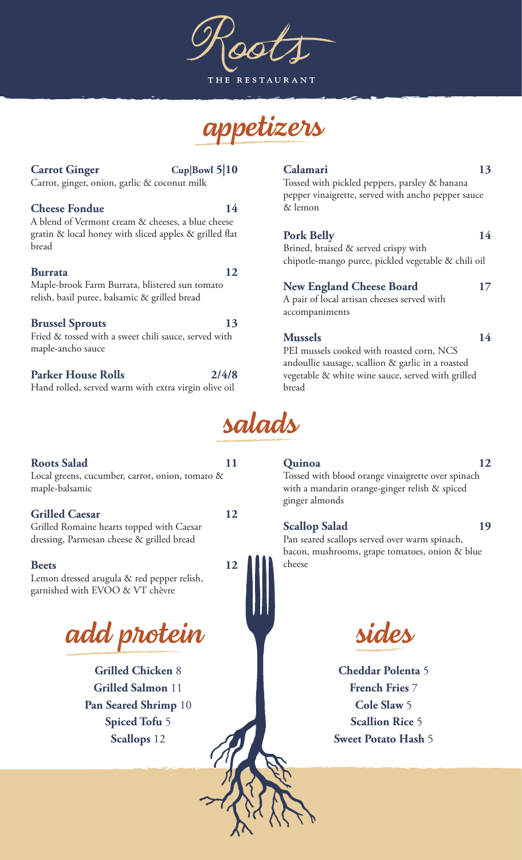**RESTAURANT** 



# Carrot Ginger Cup|Bowl 5|10

Carrot, ginger, onion, garlic & coconut milk

## **Cheese Fondue** 14

A blend of Vermont cream & cheeses, a blue cheese gratin  $\&$  local honey with sliced apples  $\&$  grilled flat bread

### **Burrata 12**

#### Maple-brook Farm Burrata, blistered sun tomato relish, basil puree, balsamic & grilled bread

## **Brussel Sprouts 13**

Fried & tossed with a sweet chili sauce, served with maple-ancho sauce

## Parker House Rolls 2/4/8

Hand rolled, served warm with extra virgin olive oil

# **Roots Salad 11**

Local greens, cucumber, carrot, onion, tomato & maple-balsamic

## **Grilled Caesar 12**

Grilled Romaine hearts topped with Caesar dressing, Parmesan cheese & grilled bread

## **Beets** 12

Lemon dressed arugula & red pepper relish, garnished with EVOO & VT chèvre

*add protein*

**Grilled Chicken** 8 **Grilled Salmon** 11 **Pan Seared Shrimp** 10 **Spiced Tofu** 5 **Scallops** 12

# **Calamari 13**

Tossed with pickled peppers, parsley & banana pepper vinaigrette, served with ancho pepper sauce & lemon

# Pork Belly 14

Brined, braised & served crispy with chipotle-mango puree, pickled vegetable & chili oil

## **New England Cheese Board 17**

A pair of local artisan cheeses served with accompaniments

## **Mussels 14**

PEI mussels cooked with roasted corn, NCS andoullie sausage, scallion & garlic in a roasted vegetable & white wine sauce, served with grilled bread



# **Quinoa 12**

Tossed with blood orange vinaigrette over spinach with a mandarin orange-ginger relish & spiced ginger almonds

# **Scallop Salad 19**

Pan seared scallops served over warm spinach, bacon, mushrooms, grape tomatoes, onion & blue cheese

*sides*

**Cheddar Polenta** 5 **French Fries** 7 **Cole Slaw** 5 **Scallion Rice** 5 **Sweet Potato Hash** 5